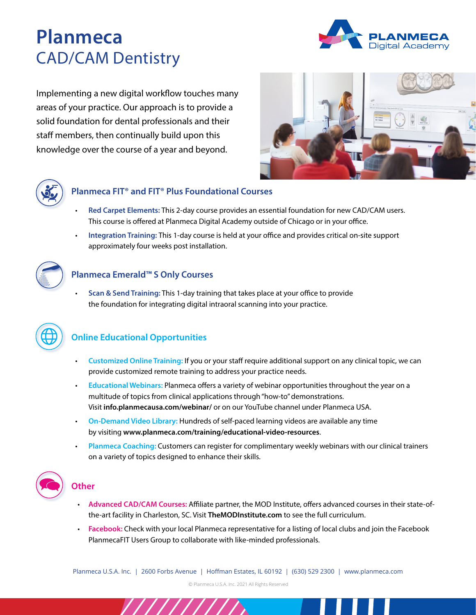# **Planmeca** CAD/CAM Dentistry



Implementing a new digital workflow touches many areas of your practice. Our approach is to provide a solid foundation for dental professionals and their staff members, then continually build upon this knowledge over the course of a year and beyond.





#### **Planmeca FIT® and FIT® Plus Foundational Courses**

- **Red Carpet Elements:** This 2-day course provides an essential foundation for new CAD/CAM users. This course is offered at Planmeca Digital Academy outside of Chicago or in your office.
- **Integration Training:** This 1-day course is held at your office and provides critical on-site support approximately four weeks post installation.



#### **Planmeca Emerald™ S Only Courses**

• **Scan & Send Training:** This 1-day training that takes place at your office to provide the foundation for integrating digital intraoral scanning into your practice.



### **Online Educational Opportunities**

- **Customized Online Training:** If you or your staff require additional support on any clinical topic, we can provide customized remote training to address your practice needs.
- **Educational Webinars:** Planmeca offers a variety of webinar opportunities throughout the year on a multitude of topics from clinical applications through "how-to" demonstrations. Visit **[info.planmecausa.com/webinar/](http://info.planmecausa.com/webinar/)** or on our YouTube channel under Planmeca USA.
- **On-Demand Video Library:** Hundreds of self-paced learning videos are available any time by visiting **[www.planmeca.com/training/educational-video-resources](https://www.planmeca.com/training/educational-video-resources)**.
- **Planmeca Coaching:** Customers can register for complimentary weekly webinars with our clinical trainers on a variety of topics designed to enhance their skills.



#### **Other**

- **Advanced CAD/CAM Courses:** Affiliate partner, the MOD Institute, offers advanced courses in their state-ofthe-art facility in Charleston, SC. Visit **[TheMODInstitute.com](https://www.themodinstitute.com/)** to see the full curriculum.
- **Facebook:** Check with your local Planmeca representative for a listing of local clubs and join the Facebook PlanmecaFIT Users Group to collaborate with like-minded professionals.

Planmeca U.S.A. Inc. | 2600 Forbs Avenue | Hoffman Estates, IL 60192 | (630) 529 2300 | www.planmeca.com

© Planmeca U.S.A. Inc. 2021 All Rights Reserved